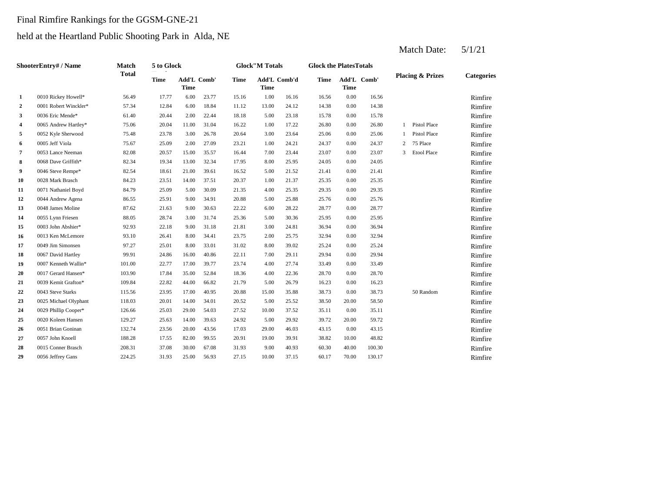## Final Rimfire Rankings for the GGSM-GNE-21

## held at the Heartland Public Shooting Park in Alda, NE

|                  | <b>ShooterEntry# / Name</b> | <b>Match</b> | 5 to Glock  |                     |       |             | <b>Glock"M Totals</b>       |       | <b>Glock the PlatesTotals</b> |             |             |              |                             |                   |
|------------------|-----------------------------|--------------|-------------|---------------------|-------|-------------|-----------------------------|-------|-------------------------------|-------------|-------------|--------------|-----------------------------|-------------------|
|                  |                             | <b>Total</b> | <b>Time</b> | Add'L Comb'<br>Time |       | <b>Time</b> | Add'L Comb'd<br><b>Time</b> |       | <b>Time</b>                   | <b>Time</b> | Add'L Comb' |              | <b>Placing &amp; Prizes</b> | <b>Categories</b> |
| 1                | 0010 Rickey Howell*         | 56.49        | 17.77       | 6.00                | 23.77 | 15.16       | 1.00                        | 16.16 | 16.56                         | 0.00        | 16.56       |              |                             | Rimfire           |
| $\boldsymbol{2}$ | 0001 Robert Winckler*       | 57.34        | 12.84       | 6.00                | 18.84 | 11.12       | 13.00                       | 24.12 | 14.38                         | 0.00        | 14.38       |              |                             | Rimfire           |
| 3                | 0036 Eric Mende*            | 61.40        | 20.44       | 2.00                | 22.44 | 18.18       | 5.00                        | 23.18 | 15.78                         | 0.00        | 15.78       |              |                             | Rimfire           |
| 4                | 0065 Andrew Hartley*        | 75.06        | 20.04       | 11.00               | 31.04 | 16.22       | 1.00                        | 17.22 | 26.80                         | 0.00        | 26.80       | $\mathbf{1}$ | Pistol Place                | Rimfire           |
| 5                | 0052 Kyle Sherwood          | 75.48        | 23.78       | 3.00                | 26.78 | 20.64       | 3.00                        | 23.64 | 25.06                         | 0.00        | 25.06       | 1            | Pistol Place                | Rimfire           |
| 6                | 0005 Jeff Viola             | 75.67        | 25.09       | 2.00                | 27.09 | 23.21       | 1.00                        | 24.21 | 24.37                         | 0.00        | 24.37       | 2            | 75 Place                    | Rimfire           |
| 7                | 0053 Lance Neeman           | 82.08        | 20.57       | 15.00               | 35.57 | 16.44       | 7.00                        | 23.44 | 23.07                         | 0.00        | 23.07       | 3            | <b>Etool Place</b>          | Rimfire           |
| 8                | 0068 Dave Griffith*         | 82.34        | 19.34       | 13.00               | 32.34 | 17.95       | 8.00                        | 25.95 | 24.05                         | 0.00        | 24.05       |              |                             | Rimfire           |
| 9                | 0046 Steve Rempe*           | 82.54        | 18.61       | 21.00               | 39.61 | 16.52       | 5.00                        | 21.52 | 21.41                         | 0.00        | 21.41       |              |                             | Rimfire           |
| 10               | 0028 Mark Brasch            | 84.23        | 23.51       | 14.00               | 37.51 | 20.37       | 1.00                        | 21.37 | 25.35                         | 0.00        | 25.35       |              |                             | Rimfire           |
| 11               | 0071 Nathaniel Boyd         | 84.79        | 25.09       | 5.00                | 30.09 | 21.35       | 4.00                        | 25.35 | 29.35                         | 0.00        | 29.35       |              |                             | Rimfire           |
| 12               | 0044 Andrew Agena           | 86.55        | 25.91       | 9.00                | 34.91 | 20.88       | 5.00                        | 25.88 | 25.76                         | 0.00        | 25.76       |              |                             | Rimfire           |
| 13               | 0048 James Moline           | 87.62        | 21.63       | 9.00                | 30.63 | 22.22       | 6.00                        | 28.22 | 28.77                         | 0.00        | 28.77       |              |                             | Rimfire           |
| 14               | 0055 Lynn Friesen           | 88.05        | 28.74       | 3.00                | 31.74 | 25.36       | 5.00                        | 30.36 | 25.95                         | 0.00        | 25.95       |              |                             | Rimfire           |
| 15               | 0003 John Abshier*          | 92.93        | 22.18       | 9.00                | 31.18 | 21.81       | 3.00                        | 24.81 | 36.94                         | 0.00        | 36.94       |              |                             | Rimfire           |
| 16               | 0013 Ken McLemore           | 93.10        | 26.41       | 8.00                | 34.41 | 23.75       | 2.00                        | 25.75 | 32.94                         | 0.00        | 32.94       |              |                             | Rimfire           |
| 17               | 0049 Jim Simonsen           | 97.27        | 25.01       | 8.00                | 33.01 | 31.02       | 8.00                        | 39.02 | 25.24                         | 0.00        | 25.24       |              |                             | Rimfire           |
| 18               | 0067 David Hartley          | 99.91        | 24.86       | 16.00               | 40.86 | 22.11       | 7.00                        | 29.11 | 29.94                         | 0.00        | 29.94       |              |                             | Rimfire           |
| 19               | 0007 Kenneth Wallin*        | 101.00       | 22.77       | 17.00               | 39.77 | 23.74       | 4.00                        | 27.74 | 33.49                         | 0.00        | 33.49       |              |                             | Rimfire           |
| 20               | 0017 Gerard Hansen*         | 103.90       | 17.84       | 35.00               | 52.84 | 18.36       | 4.00                        | 22.36 | 28.70                         | 0.00        | 28.70       |              |                             | Rimfire           |
| 21               | 0039 Kemit Grafton*         | 109.84       | 22.82       | 44.00               | 66.82 | 21.79       | 5.00                        | 26.79 | 16.23                         | 0.00        | 16.23       |              |                             | Rimfire           |
| 22               | 0043 Steve Starks           | 115.56       | 23.95       | 17.00               | 40.95 | 20.88       | 15.00                       | 35.88 | 38.73                         | 0.00        | 38.73       |              | 50 Random                   | Rimfire           |
| 23               | 0025 Michael Olyphant       | 118.03       | 20.01       | 14.00               | 34.01 | 20.52       | 5.00                        | 25.52 | 38.50                         | 20.00       | 58.50       |              |                             | Rimfire           |
| 24               | 0029 Phillip Cooper*        | 126.66       | 25.03       | 29.00               | 54.03 | 27.52       | 10.00                       | 37.52 | 35.11                         | 0.00        | 35.11       |              |                             | Rimfire           |
| 25               | 0020 Koleen Hansen          | 129.27       | 25.63       | 14.00               | 39.63 | 24.92       | 5.00                        | 29.92 | 39.72                         | 20.00       | 59.72       |              |                             | Rimfire           |
| 26               | 0051 Brian Goninan          | 132.74       | 23.56       | 20.00               | 43.56 | 17.03       | 29.00                       | 46.03 | 43.15                         | 0.00        | 43.15       |              |                             | Rimfire           |
| 27               | 0057 John Knoell            | 188.28       | 17.55       | 82.00               | 99.55 | 20.91       | 19.00                       | 39.91 | 38.82                         | 10.00       | 48.82       |              |                             | Rimfire           |
| 28               | 0015 Conner Brasch          | 208.31       | 37.08       | 30.00               | 67.08 | 31.93       | 9.00                        | 40.93 | 60.30                         | 40.00       | 100.30      |              |                             | Rimfire           |
| 29               | 0056 Jeffrey Gans           | 224.25       | 31.93       | 25.00               | 56.93 | 27.15       | 10.00                       | 37.15 | 60.17                         | 70.00       | 130.17      |              |                             | Rimfire           |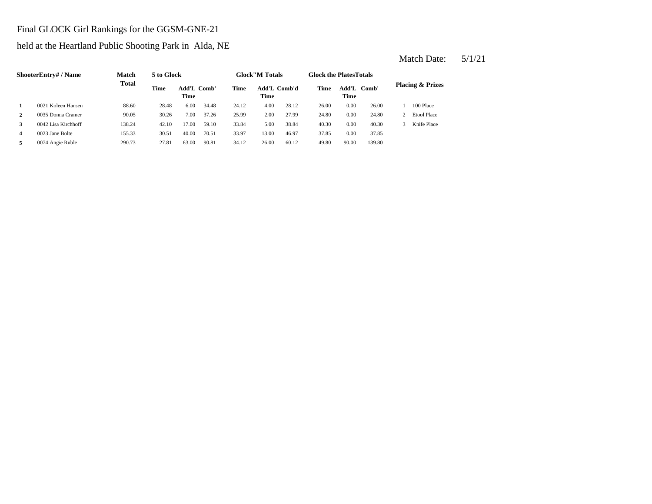## Final GLOCK Girl Rankings for the GGSM-GNE-21

held at the Heartland Public Shooting Park in Alda, NE

|   | <b>ShooterEntry#/Name</b> | <b>Match</b> | 5 to Glock |       |             |       | <b>Glock</b> "M Totals |       | <b>Glock the PlatesTotals</b> |               |        |                             |
|---|---------------------------|--------------|------------|-------|-------------|-------|------------------------|-------|-------------------------------|---------------|--------|-----------------------------|
|   |                           | <b>Total</b> | Time       | Time  | Add'L Comb' | Time  | Add'L Comb'd<br>Time   |       | <b>Time</b>                   | Add'L<br>Time | Comb'  | <b>Placing &amp; Prizes</b> |
|   | 0021 Koleen Hansen        | 88.60        | 28.48      | 6.00  | 34.48       | 24.12 | 4.00                   | 28.12 | 26.00                         | 0.00          | 26.00  | 100 Place                   |
| 2 | 0035 Donna Cramer         | 90.05        | 30.26      | 7.00  | 37.26       | 25.99 | 2.00                   | 27.99 | 24.80                         | 0.00          | 24.80  | <b>Etool Place</b>          |
|   | 0042 Lisa Kirchhoff       | 138.24       | 42.10      | 17.00 | 59.10       | 33.84 | 5.00                   | 38.84 | 40.30                         | 0.00          | 40.30  | Knife Place                 |
| 4 | 0023 Jane Bolte           | 155.33       | 30.51      | 40.00 | 70.51       | 33.97 | 13.00                  | 46.97 | 37.85                         | 0.00          | 37.85  |                             |
|   | 0074 Angie Ruble          | 290.73       | 27.81      | 63.00 | 90.81       | 34.12 | 26.00                  | 60.12 | 49.80                         | 90.00         | 139.80 |                             |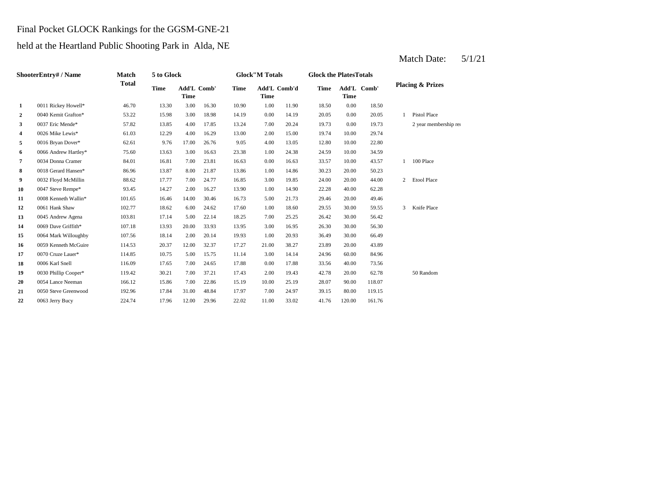#### Final Pocket GLOCK Rankings for the GGSM-GNE-21

held at the Heartland Public Shooting Park in Alda, NE

|    | ShooterEntry# / Name | <b>Match</b> | 5 to Glock  |                            |       |       | <b>Glock"M Totals</b>       |       | <b>Glock the PlatesTotals</b> |             |             |                |                             |
|----|----------------------|--------------|-------------|----------------------------|-------|-------|-----------------------------|-------|-------------------------------|-------------|-------------|----------------|-----------------------------|
|    |                      | <b>Total</b> | <b>Time</b> | Add'L Comb'<br><b>Time</b> |       | Time  | Add'L Comb'd<br><b>Time</b> |       | <b>Time</b>                   | <b>Time</b> | Add'L Comb' |                | <b>Placing &amp; Prizes</b> |
| 1  | 0011 Rickey Howell*  | 46.70        | 13.30       | 3.00                       | 16.30 | 10.90 | 1.00                        | 11.90 | 18.50                         | 0.00        | 18.50       |                |                             |
| 2  | 0040 Kemit Grafton*  | 53.22        | 15.98       | 3.00                       | 18.98 | 14.19 | 0.00                        | 14.19 | 20.05                         | 0.00        | 20.05       |                | <b>Pistol Place</b>         |
| 3  | 0037 Eric Mende*     | 57.82        | 13.85       | 4.00                       | 17.85 | 13.24 | 7.00                        | 20.24 | 19.73                         | 0.00        | 19.73       |                | 2 year membership rea       |
| 4  | 0026 Mike Lewis*     | 61.03        | 12.29       | 4.00                       | 16.29 | 13.00 | 2.00                        | 15.00 | 19.74                         | 10.00       | 29.74       |                |                             |
| 5  | 0016 Bryan Dover*    | 62.61        | 9.76        | 17.00                      | 26.76 | 9.05  | 4.00                        | 13.05 | 12.80                         | 10.00       | 22.80       |                |                             |
| 6  | 0066 Andrew Hartley* | 75.60        | 13.63       | 3.00                       | 16.63 | 23.38 | 1.00                        | 24.38 | 24.59                         | 10.00       | 34.59       |                |                             |
| 7  | 0034 Donna Cramer    | 84.01        | 16.81       | 7.00                       | 23.81 | 16.63 | 0.00                        | 16.63 | 33.57                         | 10.00       | 43.57       | $\mathbf{1}$   | 100 Place                   |
| 8  | 0018 Gerard Hansen*  | 86.96        | 13.87       | 8.00                       | 21.87 | 13.86 | 1.00                        | 14.86 | 30.23                         | 20.00       | 50.23       |                |                             |
| 9  | 0032 Floyd McMillin  | 88.62        | 17.77       | 7.00                       | 24.77 | 16.85 | 3.00                        | 19.85 | 24.00                         | 20.00       | 44.00       | $\overline{2}$ | <b>Etool Place</b>          |
| 10 | 0047 Steve Rempe*    | 93.45        | 14.27       | 2.00                       | 16.27 | 13.90 | 1.00                        | 14.90 | 22.28                         | 40.00       | 62.28       |                |                             |
| 11 | 0008 Kenneth Wallin* | 101.65       | 16.46       | 14.00                      | 30.46 | 16.73 | 5.00                        | 21.73 | 29.46                         | 20.00       | 49.46       |                |                             |
| 12 | 0061 Hank Shaw       | 102.77       | 18.62       | 6.00                       | 24.62 | 17.60 | 1.00                        | 18.60 | 29.55                         | 30.00       | 59.55       | 3              | Knife Place                 |
| 13 | 0045 Andrew Agena    | 103.81       | 17.14       | 5.00                       | 22.14 | 18.25 | 7.00                        | 25.25 | 26.42                         | 30.00       | 56.42       |                |                             |
| 14 | 0069 Dave Griffith*  | 107.18       | 13.93       | 20.00                      | 33.93 | 13.95 | 3.00                        | 16.95 | 26.30                         | 30.00       | 56.30       |                |                             |
| 15 | 0064 Mark Willoughby | 107.56       | 18.14       | 2.00                       | 20.14 | 19.93 | 1.00                        | 20.93 | 36.49                         | 30.00       | 66.49       |                |                             |
| 16 | 0059 Kenneth McGuire | 114.53       | 20.37       | 12.00                      | 32.37 | 17.27 | 21.00                       | 38.27 | 23.89                         | 20.00       | 43.89       |                |                             |
| 17 | 0070 Cruze Lauer*    | 114.85       | 10.75       | 5.00                       | 15.75 | 11.14 | 3.00                        | 14.14 | 24.96                         | 60.00       | 84.96       |                |                             |
| 18 | 0006 Karl Snell      | 116.09       | 17.65       | 7.00                       | 24.65 | 17.88 | 0.00                        | 17.88 | 33.56                         | 40.00       | 73.56       |                |                             |
| 19 | 0030 Phillip Cooper* | 119.42       | 30.21       | 7.00                       | 37.21 | 17.43 | 2.00                        | 19.43 | 42.78                         | 20.00       | 62.78       |                | 50 Random                   |
| 20 | 0054 Lance Neeman    | 166.12       | 15.86       | 7.00                       | 22.86 | 15.19 | 10.00                       | 25.19 | 28.07                         | 90.00       | 118.07      |                |                             |
| 21 | 0050 Steve Greenwood | 192.96       | 17.84       | 31.00                      | 48.84 | 17.97 | 7.00                        | 24.97 | 39.15                         | 80.00       | 119.15      |                |                             |
| 22 | 0063 Jerry Bucy      | 224.74       | 17.96       | 12.00                      | 29.96 | 22.02 | 11.00                       | 33.02 | 41.76                         | 120.00      | 161.76      |                |                             |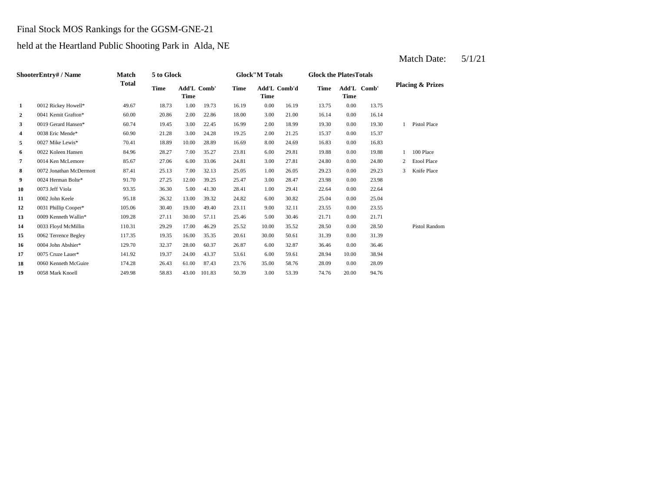#### Final Stock MOS Rankings for the GGSM-GNE-21

held at the Heartland Public Shooting Park in Alda, NE

|                | ShooterEntry# / Name    | Match        | 5 to Glock  |                            |        |             | <b>Glock"M Totals</b> |       | <b>Glock the PlatesTotals</b> |             |             |              |                             |
|----------------|-------------------------|--------------|-------------|----------------------------|--------|-------------|-----------------------|-------|-------------------------------|-------------|-------------|--------------|-----------------------------|
|                |                         | <b>Total</b> | <b>Time</b> | Add'L Comb'<br><b>Time</b> |        | <b>Time</b> | Add'L Comb'd<br>Time  |       | Time                          | <b>Time</b> | Add'L Comb' |              | <b>Placing &amp; Prizes</b> |
| 1              | 0012 Rickey Howell*     | 49.67        | 18.73       | 1.00                       | 19.73  | 16.19       | 0.00                  | 16.19 | 13.75                         | 0.00        | 13.75       |              |                             |
| 2              | 0041 Kemit Grafton*     | 60.00        | 20.86       | 2.00                       | 22.86  | 18.00       | 3.00                  | 21.00 | 16.14                         | 0.00        | 16.14       |              |                             |
| 3              | 0019 Gerard Hansen*     | 60.74        | 19.45       | 3.00                       | 22.45  | 16.99       | 2.00                  | 18.99 | 19.30                         | 0.00        | 19.30       | $\mathbf{1}$ | Pistol Place                |
| 4              | 0038 Eric Mende*        | 60.90        | 21.28       | 3.00                       | 24.28  | 19.25       | 2.00                  | 21.25 | 15.37                         | 0.00        | 15.37       |              |                             |
| 5              | 0027 Mike Lewis*        | 70.41        | 18.89       | 10.00                      | 28.89  | 16.69       | 8.00                  | 24.69 | 16.83                         | 0.00        | 16.83       |              |                             |
| 6              | 0022 Koleen Hansen      | 84.96        | 28.27       | 7.00                       | 35.27  | 23.81       | 6.00                  | 29.81 | 19.88                         | 0.00        | 19.88       | $\mathbf{1}$ | 100 Place                   |
| $\overline{7}$ | 0014 Ken McLemore       | 85.67        | 27.06       | 6.00                       | 33.06  | 24.81       | 3.00                  | 27.81 | 24.80                         | 0.00        | 24.80       | 2            | <b>Etool Place</b>          |
| 8              | 0072 Jonathan McDermott | 87.41        | 25.13       | 7.00                       | 32.13  | 25.05       | 1.00                  | 26.05 | 29.23                         | 0.00        | 29.23       | 3            | Knife Place                 |
| 9              | 0024 Herman Bolte*      | 91.70        | 27.25       | 12.00                      | 39.25  | 25.47       | 3.00                  | 28.47 | 23.98                         | 0.00        | 23.98       |              |                             |
| 10             | 0073 Jeff Viola         | 93.35        | 36.30       | 5.00                       | 41.30  | 28.41       | 1.00                  | 29.41 | 22.64                         | 0.00        | 22.64       |              |                             |
| 11             | 0002 John Keele         | 95.18        | 26.32       | 13.00                      | 39.32  | 24.82       | 6.00                  | 30.82 | 25.04                         | 0.00        | 25.04       |              |                             |
| 12             | 0031 Phillip Cooper*    | 105.06       | 30.40       | 19.00                      | 49.40  | 23.11       | 9.00                  | 32.11 | 23.55                         | 0.00        | 23.55       |              |                             |
| 13             | 0009 Kenneth Wallin*    | 109.28       | 27.11       | 30.00                      | 57.11  | 25.46       | 5.00                  | 30.46 | 21.71                         | 0.00        | 21.71       |              |                             |
| 14             | 0033 Floyd McMillin     | 110.31       | 29.29       | 17.00                      | 46.29  | 25.52       | 10.00                 | 35.52 | 28.50                         | 0.00        | 28.50       |              | <b>Pistol Random</b>        |
| 15             | 0062 Terrence Begley    | 117.35       | 19.35       | 16.00                      | 35.35  | 20.61       | 30.00                 | 50.61 | 31.39                         | 0.00        | 31.39       |              |                             |
| 16             | 0004 John Abshier*      | 129.70       | 32.37       | 28.00                      | 60.37  | 26.87       | 6.00                  | 32.87 | 36.46                         | 0.00        | 36.46       |              |                             |
| 17             | 0075 Cruze Lauer*       | 141.92       | 19.37       | 24.00                      | 43.37  | 53.61       | 6.00                  | 59.61 | 28.94                         | 10.00       | 38.94       |              |                             |
| 18             | 0060 Kenneth McGuire    | 174.28       | 26.43       | 61.00                      | 87.43  | 23.76       | 35.00                 | 58.76 | 28.09                         | 0.00        | 28.09       |              |                             |
| 19             | 0058 Mark Knoell        | 249.98       | 58.83       | 43.00                      | 101.83 | 50.39       | 3.00                  | 53.39 | 74.76                         | 20.00       | 94.76       |              |                             |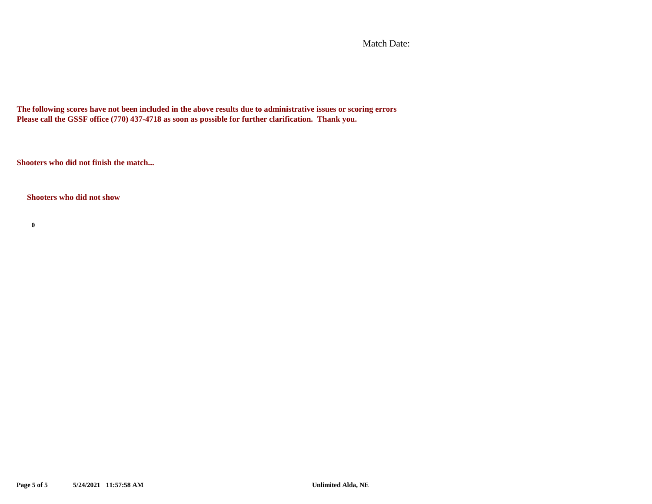Match Date:

**The following scores have not been included in the above results due to administrative issues or scoring errors Please call the GSSF office (770) 437-4718 as soon as possible for further clarification. Thank you.**

**Shooters who did not finish the match...**

**Shooters who did not show**

**0**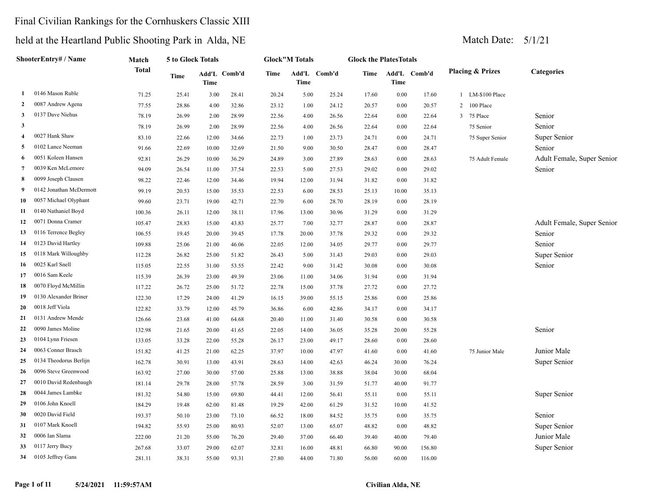## Final Civilian Rankings for the Cornhuskers Classic XIII

|                | ShooterEntry# / Name    | Match        | 5 to Glock Totals |       |              |       | <b>Glock"M Totals</b> |              | <b>Glock the PlatesTotals</b> |          |              |                             |                            |
|----------------|-------------------------|--------------|-------------------|-------|--------------|-------|-----------------------|--------------|-------------------------------|----------|--------------|-----------------------------|----------------------------|
|                |                         | <b>Total</b> | Time              | Time  | Add'L Comb'd | Time  | Time                  | Add'L Comb'd | Time                          | Time     | Add'L Comb'd | <b>Placing &amp; Prizes</b> | Categories                 |
| 1              | 0146 Mason Ruble        | 71.25        | 25.41             | 3.00  | 28.41        | 20.24 | 5.00                  | 25.24        | 17.60                         | 0.00     | 17.60        | 1 LM-\$100 Place            |                            |
| $\mathbf{2}$   | 0087 Andrew Agena       | 77.55        | 28.86             | 4.00  | 32.86        | 23.12 | 1.00                  | 24.12        | 20.57                         | 0.00     | 20.57        | 2 100 Place                 |                            |
| 3              | 0137 Dave Niehus        | 78.19        | 26.99             | 2.00  | 28.99        | 22.56 | 4.00                  | 26.56        | 22.64                         | 0.00     | 22.64        | 3 75 Place                  | Senior                     |
| 3              |                         | 78.19        | 26.99             | 2.00  | 28.99        | 22.56 | 4.00                  | 26.56        | 22.64                         | 0.00     | 22.64        | 75 Senior                   | Senior                     |
| 4              | 0027 Hank Shaw          | 83.10        | 22.66             | 12.00 | 34.66        | 22.73 | 1.00                  | 23.73        | 24.71                         | 0.00     | 24.71        | 75 Super Senior             | Super Senior               |
| 5              | 0102 Lance Neeman       | 91.66        | 22.69             | 10.00 | 32.69        | 21.50 | 9.00                  | 30.50        | 28.47                         | 0.00     | 28.47        |                             | Senior                     |
| 6              | 0051 Koleen Hansen      | 92.81        | 26.29             | 10.00 | 36.29        | 24.89 | 3.00                  | 27.89        | 28.63                         | $0.00\,$ | 28.63        | 75 Adult Female             | Adult Female, Super Senior |
| $\overline{7}$ | 0039 Ken McLemore       | 94.09        | 26.54             | 11.00 | 37.54        | 22.53 | 5.00                  | 27.53        | 29.02                         | 0.00     | 29.02        |                             | Senior                     |
| 8              | 0099 Joseph Clausen     | 98.22        | 22.46             | 12.00 | 34.46        | 19.94 | 12.00                 | 31.94        | 31.82                         | 0.00     | 31.82        |                             |                            |
| 9              | 0142 Jonathan McDermott | 99.19        | 20.53             | 15.00 | 35.53        | 22.53 | 6.00                  | 28.53        | 25.13                         | 10.00    | 35.13        |                             |                            |
| 10             | 0057 Michael Olyphant   | 99.60        | 23.71             | 19.00 | 42.71        | 22.70 | 6.00                  | 28.70        | 28.19                         | 0.00     | 28.19        |                             |                            |
| 11             | 0140 Nathaniel Boyd     | 100.36       | 26.11             | 12.00 | 38.11        | 17.96 | 13.00                 | 30.96        | 31.29                         | 0.00     | 31.29        |                             |                            |
| 12             | 0071 Donna Cramer       | 105.47       | 28.83             | 15.00 | 43.83        | 25.77 | 7.00                  | 32.77        | 28.87                         | 0.00     | 28.87        |                             | Adult Female, Super Senior |
| 13             | 0116 Terrence Begley    | 106.55       | 19.45             | 20.00 | 39.45        | 17.78 | 20.00                 | 37.78        | 29.32                         | 0.00     | 29.32        |                             | Senior                     |
| 14             | 0123 David Hartley      | 109.88       | 25.06             | 21.00 | 46.06        | 22.05 | 12.00                 | 34.05        | 29.77                         | 0.00     | 29.77        |                             | Senior                     |
| 15             | 0118 Mark Willoughby    | 112.28       | 26.82             | 25.00 | 51.82        | 26.43 | 5.00                  | 31.43        | 29.03                         | 0.00     | 29.03        |                             | Super Senior               |
| 16             | 0025 Karl Snell         | 115.05       | 22.55             | 31.00 | 53.55        | 22.42 | 9.00                  | 31.42        | 30.08                         | 0.00     | 30.08        |                             | Senior                     |
| 17             | 0016 Sam Keele          | 115.39       | 26.39             | 23.00 | 49.39        | 23.06 | 11.00                 | 34.06        | 31.94                         | 0.00     | 31.94        |                             |                            |
| 18             | 0070 Floyd McMillin     | 117.22       | 26.72             | 25.00 | 51.72        | 22.78 | 15.00                 | 37.78        | 27.72                         | 0.00     | 27.72        |                             |                            |
| 19             | 0130 Alexander Briner   | 122.30       | 17.29             | 24.00 | 41.29        | 16.15 | 39.00                 | 55.15        | 25.86                         | 0.00     | 25.86        |                             |                            |
| 20             | 0018 Jeff Viola         | 122.82       | 33.79             | 12.00 | 45.79        | 36.86 | 6.00                  | 42.86        | 34.17                         | 0.00     | 34.17        |                             |                            |
| 21             | 0131 Andrew Mende       | 126.66       | 23.68             | 41.00 | 64.68        | 20.40 | 11.00                 | 31.40        | 30.58                         | 0.00     | 30.58        |                             |                            |
| 22             | 0090 James Moline       | 132.98       | 21.65             | 20.00 | 41.65        | 22.05 | 14.00                 | 36.05        | 35.28                         | 20.00    | 55.28        |                             | Senior                     |
| 23             | 0104 Lynn Friesen       | 133.05       | 33.28             | 22.00 | 55.28        | 26.17 | 23.00                 | 49.17        | 28.60                         | 0.00     | 28.60        |                             |                            |
| 24             | 0063 Conner Brasch      | 151.82       | 41.25             | 21.00 | 62.25        | 37.97 | 10.00                 | 47.97        | 41.60                         | 0.00     | 41.60        | 75 Junior Male              | Junior Male                |
| 25             | 0134 Theodorus Berlijn  | 162.78       | 30.91             | 13.00 | 43.91        | 28.63 | 14.00                 | 42.63        | 46.24                         | 30.00    | 76.24        |                             | Super Senior               |
| 26             | 0096 Steve Greenwood    | 163.92       | 27.00             | 30.00 | 57.00        | 25.88 | 13.00                 | 38.88        | 38.04                         | 30.00    | 68.04        |                             |                            |
| 27             | 0010 David Redenbaugh   | 181.14       | 29.78             | 28.00 | 57.78        | 28.59 | 3.00                  | 31.59        | 51.77                         | 40.00    | 91.77        |                             |                            |
| 28             | 0044 James Lambke       | 181.32       | 54.80             | 15.00 | 69.80        | 44.41 | 12.00                 | 56.41        | 55.11                         | 0.00     | 55.11        |                             | Super Senior               |
| 29             | 0106 John Knoell        | 184.29       | 19.48             | 62.00 | 81.48        | 19.29 | 42.00                 | 61.29        | 31.52                         | 10.00    | 41.52        |                             |                            |
| 30             | 0020 David Field        | 193.37       | 50.10             | 23.00 | 73.10        | 66.52 | 18.00                 | 84.52        | 35.75                         | 0.00     | 35.75        |                             | Senior                     |
| 31             | 0107 Mark Knoell        | 194.82       | 55.93             | 25.00 | 80.93        | 52.07 | 13.00                 | 65.07        | 48.82                         | 0.00     | 48.82        |                             | Super Senior               |
| 32             | 0006 Ian Slama          | 222.00       | 21.20             | 55.00 | 76.20        | 29.40 | 37.00                 | 66.40        | 39.40                         | 40.00    | 79.40        |                             | Junior Male                |
| 33             | 0117 Jerry Bucy         | 267.68       | 33.07             | 29.00 | 62.07        | 32.81 | 16.00                 | 48.81        | 66.80                         | 90.00    | 156.80       |                             | Super Senior               |
| 34             | 0105 Jeffrey Gans       | 281.11       | 38.31             | 55.00 | 93.31        | 27.80 | 44.00                 | 71.80        | 56.00                         | 60.00    | 116.00       |                             |                            |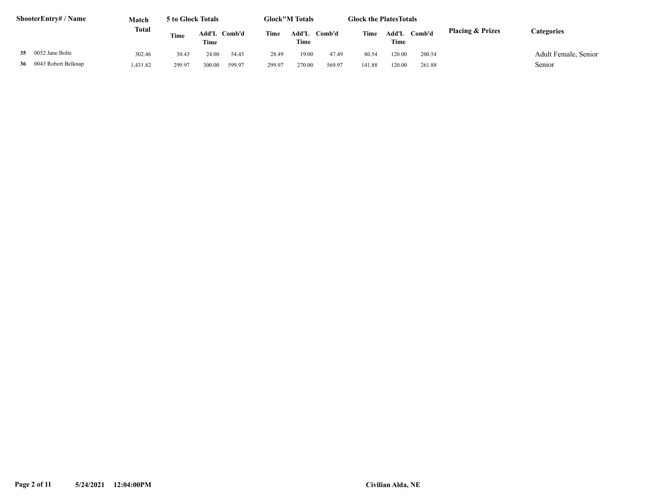| <b>ShooterEntry#/Name</b> | Match    | 5 to Glock Totals |                      |        |        | <b>Glock</b> "M Totals |        | <b>Glock the Plates Totals</b> |               |        |                             |                      |
|---------------------------|----------|-------------------|----------------------|--------|--------|------------------------|--------|--------------------------------|---------------|--------|-----------------------------|----------------------|
|                           | Total    | Time              | Add'L Comb'd<br>Time |        | Time   | Add'L<br>Time          | Comb'd | Time                           | Add'L<br>Time | Comb'd | <b>Placing &amp; Prizes</b> | Categories           |
| 35 0052 Jane Bolte        | 302.46   | 30.43             | 24.00                | 54.43  | 28.49  | 19.00                  | 47.49  | 80.54                          | 120.00        | 200.54 |                             | Adult Female, Senior |
| 36 0043 Robert Belknap    | 1,431.82 | 299.97            | 300.00               | 599.97 | 299.97 | 270.00                 | 569.97 | 141.88                         | 120.00        | 261.88 |                             | Senior               |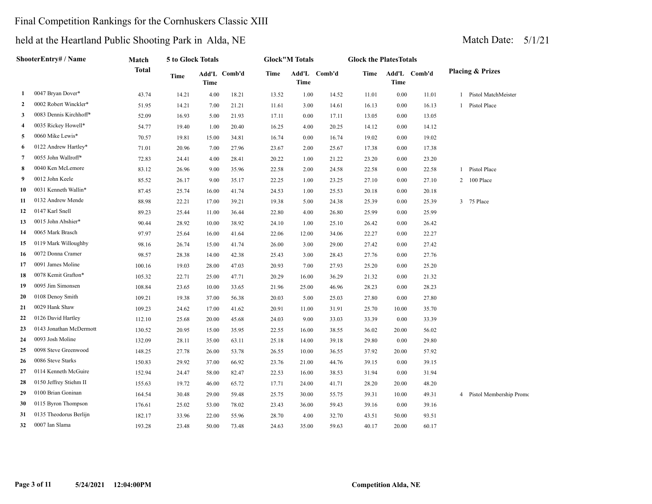## Final Competition Rankings for the Cornhuskers Classic XIII

|                | <b>ShooterEntry# / Name</b> | Match        | 5 to Glock Totals |       |              |             | <b>Glock"M Totals</b> |              | <b>Glock the PlatesTotals</b> |             |              |   |                             |
|----------------|-----------------------------|--------------|-------------------|-------|--------------|-------------|-----------------------|--------------|-------------------------------|-------------|--------------|---|-----------------------------|
|                |                             | <b>Total</b> | <b>Time</b>       | Time  | Add'L Comb'd | <b>Time</b> | Time                  | Add'L Comb'd | Time                          | <b>Time</b> | Add'L Comb'd |   | <b>Placing &amp; Prizes</b> |
| 1              | 0047 Bryan Dover*           | 43.74        | 14.21             | 4.00  | 18.21        | 13.52       | 1.00                  | 14.52        | 11.01                         | 0.00        | 11.01        |   | 1 Pistol MatchMeister       |
| $\overline{2}$ | 0002 Robert Winckler*       | 51.95        | 14.21             | 7.00  | 21.21        | 11.61       | 3.00                  | 14.61        | 16.13                         | 0.00        | 16.13        |   | Pistol Place                |
| 3              | 0083 Dennis Kirchhoff*      | 52.09        | 16.93             | 5.00  | 21.93        | 17.11       | 0.00                  | 17.11        | 13.05                         | 0.00        | 13.05        |   |                             |
| 4              | 0035 Rickey Howell*         | 54.77        | 19.40             | 1.00  | 20.40        | 16.25       | 4.00                  | 20.25        | 14.12                         | 0.00        | 14.12        |   |                             |
| 5              | 0060 Mike Lewis*            | 70.57        | 19.81             | 15.00 | 34.81        | 16.74       | 0.00                  | 16.74        | 19.02                         | 0.00        | 19.02        |   |                             |
| 6              | 0122 Andrew Hartley*        | 71.01        | 20.96             | 7.00  | 27.96        | 23.67       | 2.00                  | 25.67        | 17.38                         | 0.00        | 17.38        |   |                             |
| 7              | 0055 John Wallroff*         | 72.83        | 24.41             | 4.00  | 28.41        | 20.22       | 1.00                  | 21.22        | 23.20                         | 0.00        | 23.20        |   |                             |
| 8              | 0040 Ken McLemore           | 83.12        | 26.96             | 9.00  | 35.96        | 22.58       | 2.00                  | 24.58        | 22.58                         | 0.00        | 22.58        | 1 | Pistol Place                |
| 9              | 0012 John Keele             | 85.52        | 26.17             | 9.00  | 35.17        | 22.25       | 1.00                  | 23.25        | 27.10                         | 0.00        | 27.10        | 2 | 100 Place                   |
| 10             | 0031 Kenneth Wallin*        | 87.45        | 25.74             | 16.00 | 41.74        | 24.53       | 1.00                  | 25.53        | 20.18                         | 0.00        | 20.18        |   |                             |
| 11             | 0132 Andrew Mende           | 88.98        | 22.21             | 17.00 | 39.21        | 19.38       | 5.00                  | 24.38        | 25.39                         | 0.00        | 25.39        |   | 3 75 Place                  |
| 12             | 0147 Karl Snell             | 89.23        | 25.44             | 11.00 | 36.44        | 22.80       | 4.00                  | 26.80        | 25.99                         | 0.00        | 25.99        |   |                             |
| 13             | 0015 John Abshier*          | 90.44        | 28.92             | 10.00 | 38.92        | 24.10       | 1.00                  | 25.10        | 26.42                         | 0.00        | 26.42        |   |                             |
| 14             | 0065 Mark Brasch            | 97.97        | 25.64             | 16.00 | 41.64        | 22.06       | 12.00                 | 34.06        | 22.27                         | 0.00        | 22.27        |   |                             |
| 15             | 0119 Mark Willoughby        | 98.16        | 26.74             | 15.00 | 41.74        | 26.00       | 3.00                  | 29.00        | 27.42                         | 0.00        | 27.42        |   |                             |
| 16             | 0072 Donna Cramer           | 98.57        | 28.38             | 14.00 | 42.38        | 25.43       | 3.00                  | 28.43        | 27.76                         | 0.00        | 27.76        |   |                             |
| 17             | 0091 James Moline           | 100.16       | 19.03             | 28.00 | 47.03        | 20.93       | 7.00                  | 27.93        | 25.20                         | 0.00        | 25.20        |   |                             |
| 18             | 0078 Kemit Grafton*         | 105.32       | 22.71             | 25.00 | 47.71        | 20.29       | 16.00                 | 36.29        | 21.32                         | 0.00        | 21.32        |   |                             |
| 19             | 0095 Jim Simonsen           | 108.84       | 23.65             | 10.00 | 33.65        | 21.96       | 25.00                 | 46.96        | 28.23                         | 0.00        | 28.23        |   |                             |
| 20             | 0108 Denoy Smith            | 109.21       | 19.38             | 37.00 | 56.38        | 20.03       | 5.00                  | 25.03        | 27.80                         | 0.00        | 27.80        |   |                             |
| 21             | 0029 Hank Shaw              | 109.23       | 24.62             | 17.00 | 41.62        | 20.91       | 11.00                 | 31.91        | 25.70                         | 10.00       | 35.70        |   |                             |
| 22             | 0126 David Hartley          | 112.10       | 25.68             | 20.00 | 45.68        | 24.03       | 9.00                  | 33.03        | 33.39                         | 0.00        | 33.39        |   |                             |
| 23             | 0143 Jonathan McDermott     | 130.52       | 20.95             | 15.00 | 35.95        | 22.55       | 16.00                 | 38.55        | 36.02                         | 20.00       | 56.02        |   |                             |
| 24             | 0093 Josh Moline            | 132.09       | 28.11             | 35.00 | 63.11        | 25.18       | 14.00                 | 39.18        | 29.80                         | 0.00        | 29.80        |   |                             |
| 25             | 0098 Steve Greenwood        | 148.25       | 27.78             | 26.00 | 53.78        | 26.55       | 10.00                 | 36.55        | 37.92                         | 20.00       | 57.92        |   |                             |
| 26             | 0086 Steve Starks           | 150.83       | 29.92             | 37.00 | 66.92        | 23.76       | 21.00                 | 44.76        | 39.15                         | 0.00        | 39.15        |   |                             |
| 27             | 0114 Kenneth McGuire        | 152.94       | 24.47             | 58.00 | 82.47        | 22.53       | 16.00                 | 38.53        | 31.94                         | 0.00        | 31.94        |   |                             |
| 28             | 0150 Jeffrey Stiehm II      | 155.63       | 19.72             | 46.00 | 65.72        | 17.71       | 24.00                 | 41.71        | 28.20                         | 20.00       | 48.20        |   |                             |
| 29             | 0100 Brian Goninan          | 164.54       | 30.48             | 29.00 | 59.48        | 25.75       | 30.00                 | 55.75        | 39.31                         | 10.00       | 49.31        |   | 4 Pistol Membership Promo   |
| 30             | 0115 Byron Thompson         | 176.61       | 25.02             | 53.00 | 78.02        | 23.43       | 36.00                 | 59.43        | 39.16                         | 0.00        | 39.16        |   |                             |
| 31             | 0135 Theodorus Berlijn      | 182.17       | 33.96             | 22.00 | 55.96        | 28.70       | 4.00                  | 32.70        | 43.51                         | 50.00       | 93.51        |   |                             |
| 32             | 0007 Ian Slama              | 193.28       | 23.48             | 50.00 | 73.48        | 24.63       | 35.00                 | 59.63        | 40.17                         | 20.00       | 60.17        |   |                             |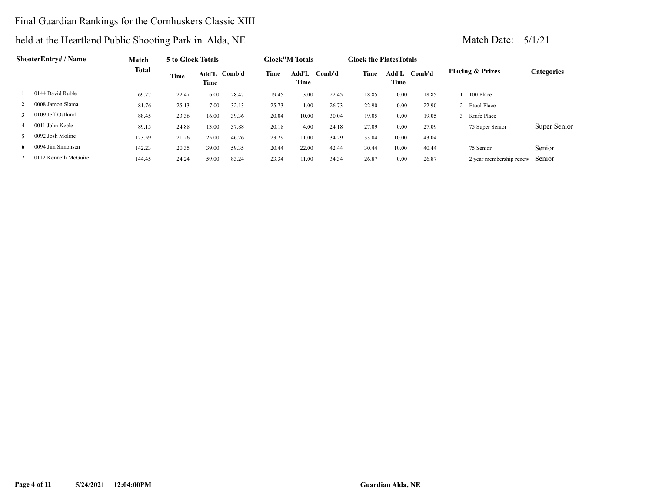## Final Guardian Rankings for the Cornhuskers Classic XIII

|              | ShooterEntry# / Name | Match        | 5 to Glock Totals |       |              |       | <b>Glock</b> "M Totals |        | <b>Glock the PlatesTotals</b> |       |              |                             |              |
|--------------|----------------------|--------------|-------------------|-------|--------------|-------|------------------------|--------|-------------------------------|-------|--------------|-----------------------------|--------------|
|              |                      | <b>Total</b> | Time              | Time  | Add'L Comb'd | Time  | Add'L<br>Time          | Comb'd | Time                          | Time  | Add'L Comb'd | <b>Placing &amp; Prizes</b> | Categories   |
|              | 0144 David Ruble     | 69.77        | 22.47             | 6.00  | 28.47        | 19.45 | 3.00                   | 22.45  | 18.85                         | 0.00  | 18.85        | 100 Place                   |              |
| $\mathbf{2}$ | 0008 Jamon Slama     | 81.76        | 25.13             | 7.00  | 32.13        | 25.73 | 1.00                   | 26.73  | 22.90                         | 0.00  | 22.90        | 2 Etool Place               |              |
| 3            | 0109 Jeff Ostlund    | 88.45        | 23.36             | 16.00 | 39.36        | 20.04 | 10.00                  | 30.04  | 19.05                         | 0.00  | 19.05        | 3 Knife Place               |              |
| 4            | 0011 John Keele      | 89.15        | 24.88             | 13.00 | 37.88        | 20.18 | 4.00                   | 24.18  | 27.09                         | 0.00  | 27.09        | 75 Super Senior             | Super Senior |
| 5.           | 0092 Josh Moline     | 123.59       | 21.26             | 25.00 | 46.26        | 23.29 | 11.00                  | 34.29  | 33.04                         | 10.00 | 43.04        |                             |              |
| 6.           | 0094 Jim Simonsen    | 142.23       | 20.35             | 39.00 | 59.35        | 20.44 | 22.00                  | 42.44  | 30.44                         | 10.00 | 40.44        | 75 Senior                   | Senior       |
|              | 0112 Kenneth McGuire | 144.45       | 24.24             | 59.00 | 83.24        | 23.34 | 11.00                  | 34.34  | 26.87                         | 0.00  | 26.87        | 2 year membership renew     | Senior       |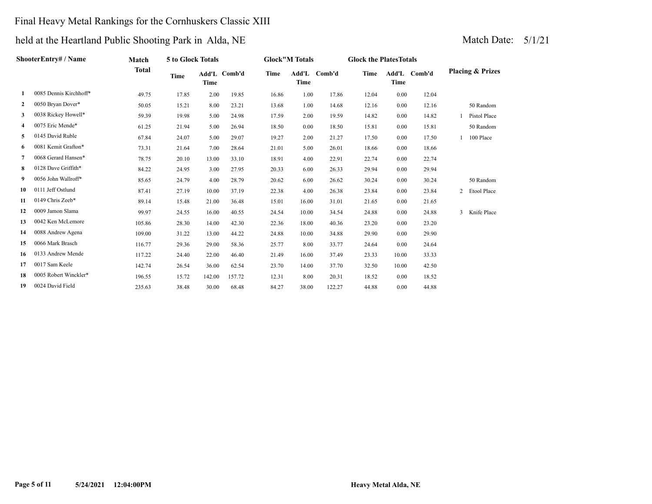## Final Heavy Metal Rankings for the Cornhuskers Classic XIII

|              | ShooterEntry# / Name   | Match  | 5 to Glock Totals |        |              |       | <b>Glock"M Totals</b> |              | <b>Glock the Plates Totals</b> |             |              |                |                             |
|--------------|------------------------|--------|-------------------|--------|--------------|-------|-----------------------|--------------|--------------------------------|-------------|--------------|----------------|-----------------------------|
|              |                        | Total  | Time              | Time   | Add'L Comb'd | Time  | Time                  | Add'L Comb'd | <b>Time</b>                    | <b>Time</b> | Add'L Comb'd |                | <b>Placing &amp; Prizes</b> |
| 1            | 0085 Dennis Kirchhoff* | 49.75  | 17.85             | 2.00   | 19.85        | 16.86 | 1.00                  | 17.86        | 12.04                          | 0.00        | 12.04        |                |                             |
| $\mathbf{2}$ | 0050 Bryan Dover*      | 50.05  | 15.21             | 8.00   | 23.21        | 13.68 | 1.00                  | 14.68        | 12.16                          | 0.00        | 12.16        |                | 50 Random                   |
| 3            | 0038 Rickey Howell*    | 59.39  | 19.98             | 5.00   | 24.98        | 17.59 | 2.00                  | 19.59        | 14.82                          | 0.00        | 14.82        |                | Pistol Place                |
| 4            | 0075 Eric Mende*       | 61.25  | 21.94             | 5.00   | 26.94        | 18.50 | 0.00                  | 18.50        | 15.81                          | 0.00        | 15.81        |                | 50 Random                   |
| 5            | 0145 David Ruble       | 67.84  | 24.07             | 5.00   | 29.07        | 19.27 | 2.00                  | 21.27        | 17.50                          | 0.00        | 17.50        | $\mathbf{1}$   | 100 Place                   |
| 6            | 0081 Kemit Grafton*    | 73.31  | 21.64             | 7.00   | 28.64        | 21.01 | 5.00                  | 26.01        | 18.66                          | 0.00        | 18.66        |                |                             |
| 7            | 0068 Gerard Hansen*    | 78.75  | 20.10             | 13.00  | 33.10        | 18.91 | 4.00                  | 22.91        | 22.74                          | 0.00        | 22.74        |                |                             |
| 8            | 0128 Dave Griffith*    | 84.22  | 24.95             | 3.00   | 27.95        | 20.33 | 6.00                  | 26.33        | 29.94                          | 0.00        | 29.94        |                |                             |
| 9.           | 0056 John Wallroff*    | 85.65  | 24.79             | 4.00   | 28.79        | 20.62 | 6.00                  | 26.62        | 30.24                          | 0.00        | 30.24        |                | 50 Random                   |
| 10           | 0111 Jeff Ostlund      | 87.41  | 27.19             | 10.00  | 37.19        | 22.38 | 4.00                  | 26.38        | 23.84                          | 0.00        | 23.84        |                | 2 Etool Place               |
| 11           | 0149 Chris Zeeb*       | 89.14  | 15.48             | 21.00  | 36.48        | 15.01 | 16.00                 | 31.01        | 21.65                          | 0.00        | 21.65        |                |                             |
| 12           | 0009 Jamon Slama       | 99.97  | 24.55             | 16.00  | 40.55        | 24.54 | 10.00                 | 34.54        | 24.88                          | 0.00        | 24.88        | $\overline{3}$ | Knife Place                 |
| 13           | 0042 Ken McLemore      | 105.86 | 28.30             | 14.00  | 42.30        | 22.36 | 18.00                 | 40.36        | 23.20                          | 0.00        | 23.20        |                |                             |
| 14           | 0088 Andrew Agena      | 109.00 | 31.22             | 13.00  | 44.22        | 24.88 | 10.00                 | 34.88        | 29.90                          | 0.00        | 29.90        |                |                             |
| 15           | 0066 Mark Brasch       | 116.77 | 29.36             | 29.00  | 58.36        | 25.77 | 8.00                  | 33.77        | 24.64                          | 0.00        | 24.64        |                |                             |
| 16           | 0133 Andrew Mende      | 117.22 | 24.40             | 22.00  | 46.40        | 21.49 | 16.00                 | 37.49        | 23.33                          | 10.00       | 33.33        |                |                             |
| 17           | 0017 Sam Keele         | 142.74 | 26.54             | 36.00  | 62.54        | 23.70 | 14.00                 | 37.70        | 32.50                          | 10.00       | 42.50        |                |                             |
| 18           | 0005 Robert Winckler*  | 196.55 | 15.72             | 142.00 | 157.72       | 12.31 | 8.00                  | 20.31        | 18.52                          | 0.00        | 18.52        |                |                             |
| 19           | 0024 David Field       | 235.63 | 38.48             | 30.00  | 68.48        | 84.27 | 38.00                 | 122.27       | 44.88                          | 0.00        | 44.88        |                |                             |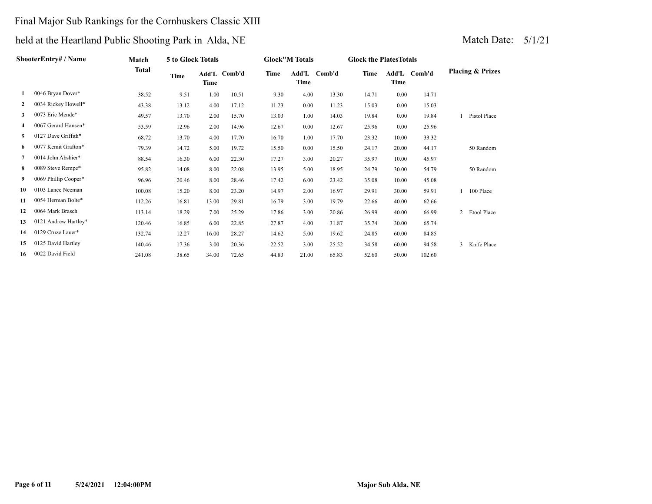## Final Major Sub Rankings for the Cornhuskers Classic XIII

## held at the Heartland Public Shooting Park in Alda, NE Match Date: 5/1/21

|    | ShooterEntry# / Name | Match  | 5 to Glock Totals |       |              |       | <b>Glock</b> "M Totals |        | <b>Glock the Plates Totals</b> |               |        |                             |
|----|----------------------|--------|-------------------|-------|--------------|-------|------------------------|--------|--------------------------------|---------------|--------|-----------------------------|
|    |                      | Total  | Time              | Time  | Add'L Comb'd | Time  | Add'L<br>Time          | Comb'd | Time                           | Add'L<br>Time | Comb'd | <b>Placing &amp; Prizes</b> |
|    | 0046 Bryan Dover*    | 38.52  | 9.51              | 1.00  | 10.51        | 9.30  | 4.00                   | 13.30  | 14.71                          | 0.00          | 14.71  |                             |
| 2  | 0034 Rickey Howell*  | 43.38  | 13.12             | 4.00  | 17.12        | 11.23 | 0.00                   | 11.23  | 15.03                          | 0.00          | 15.03  |                             |
| 3  | 0073 Eric Mende*     | 49.57  | 13.70             | 2.00  | 15.70        | 13.03 | 1.00                   | 14.03  | 19.84                          | 0.00          | 19.84  | Pistol Place                |
| 4  | 0067 Gerard Hansen*  | 53.59  | 12.96             | 2.00  | 14.96        | 12.67 | 0.00                   | 12.67  | 25.96                          | 0.00          | 25.96  |                             |
| 5. | 0127 Dave Griffith*  | 68.72  | 13.70             | 4.00  | 17.70        | 16.70 | 1.00                   | 17.70  | 23.32                          | 10.00         | 33.32  |                             |
| 6  | 0077 Kemit Grafton*  | 79.39  | 14.72             | 5.00  | 19.72        | 15.50 | 0.00                   | 15.50  | 24.17                          | 20.00         | 44.17  | 50 Random                   |
|    | 0014 John Abshier*   | 88.54  | 16.30             | 6.00  | 22.30        | 17.27 | 3.00                   | 20.27  | 35.97                          | 10.00         | 45.97  |                             |
| 8  | 0089 Steve Rempe*    | 95.82  | 14.08             | 8.00  | 22.08        | 13.95 | 5.00                   | 18.95  | 24.79                          | 30.00         | 54.79  | 50 Random                   |
| 9  | 0069 Phillip Cooper* | 96.96  | 20.46             | 8.00  | 28.46        | 17.42 | 6.00                   | 23.42  | 35.08                          | 10.00         | 45.08  |                             |
| 10 | 0103 Lance Neeman    | 100.08 | 15.20             | 8.00  | 23.20        | 14.97 | 2.00                   | 16.97  | 29.91                          | 30.00         | 59.91  | 100 Place                   |
| 11 | 0054 Herman Bolte*   | 112.26 | 16.81             | 13.00 | 29.81        | 16.79 | 3.00                   | 19.79  | 22.66                          | 40.00         | 62.66  |                             |
| 12 | 0064 Mark Brasch     | 113.14 | 18.29             | 7.00  | 25.29        | 17.86 | 3.00                   | 20.86  | 26.99                          | 40.00         | 66.99  | 2<br>Etool Place            |
| 13 | 0121 Andrew Hartley* | 120.46 | 16.85             | 6.00  | 22.85        | 27.87 | 4.00                   | 31.87  | 35.74                          | 30.00         | 65.74  |                             |

 **14** 0129 Cruze Lauer\* 132.74 12.27 16.00 28.27 14.62 5.00 19.62 24.85 60.00 84.85

 **16** 0022 David Field 241.08 38.65 34.00 72.65 44.83 21.00 65.83 52.60 50.00 102.60

 **15** 0125 David Hartley 140.46 17.36 3.00 20.36 22.52 3.00 25.52 34.58 60.00 94.58 3 Knife Place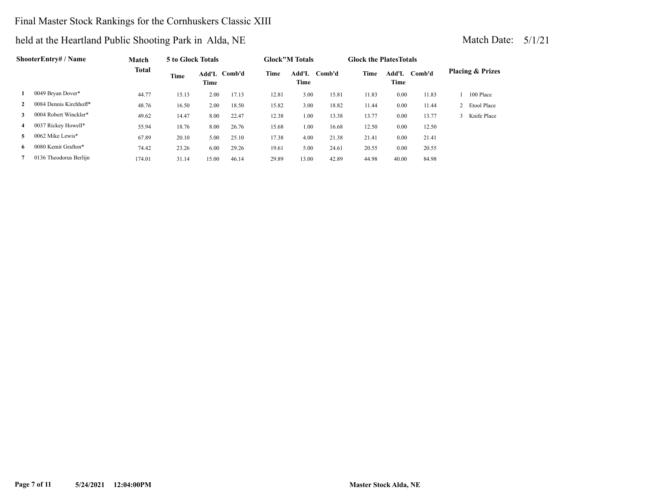## Final Master Stock Rankings for the Cornhuskers Classic XIII

|              | ShooterEntry# / Name   | Match        | 5 to Glock Totals |               |        |       | <b>Glock</b> "M Totals |        | <b>Glock the Plates Totals</b> |               |        |                             |
|--------------|------------------------|--------------|-------------------|---------------|--------|-------|------------------------|--------|--------------------------------|---------------|--------|-----------------------------|
|              |                        | <b>Total</b> | Time              | Add'L<br>Time | Comb'd | Time  | Add'L<br>Time          | Comb'd | Time                           | Add'L<br>Time | Comb'd | <b>Placing &amp; Prizes</b> |
|              | 0049 Bryan Dover*      | 44.77        | 15.13             | 2.00          | 17.13  | 12.81 | 3.00                   | 15.81  | 11.83                          | 0.00          | 11.83  | 100 Place                   |
| $\mathbf{2}$ | 0084 Dennis Kirchhoff* | 48.76        | 16.50             | 2.00          | 18.50  | 15.82 | 3.00                   | 18.82  | 11.44                          | 0.00          | 11.44  | 2 Etool Place               |
| 3            | 0004 Robert Winckler*  | 49.62        | 14.47             | 8.00          | 22.47  | 12.38 | 1.00                   | 13.38  | 13.77                          | 0.00          | 13.77  | Knife Place                 |
| 4            | 0037 Rickey Howell*    | 55.94        | 18.76             | 8.00          | 26.76  | 15.68 | 1.00                   | 16.68  | 12.50                          | 0.00          | 12.50  |                             |
| 5.           | 0062 Mike Lewis*       | 67.89        | 20.10             | 5.00          | 25.10  | 17.38 | 4.00                   | 21.38  | 21.41                          | 0.00          | 21.41  |                             |
| 6            | 0080 Kemit Grafton*    | 74.42        | 23.26             | 6.00          | 29.26  | 19.61 | 5.00                   | 24.61  | 20.55                          | 0.00          | 20.55  |                             |
|              | 0136 Theodorus Berlijn | 174.01       | 31.14             | 15.00         | 46.14  | 29.89 | 13.00                  | 42.89  | 44.98                          | 40.00         | 84.98  |                             |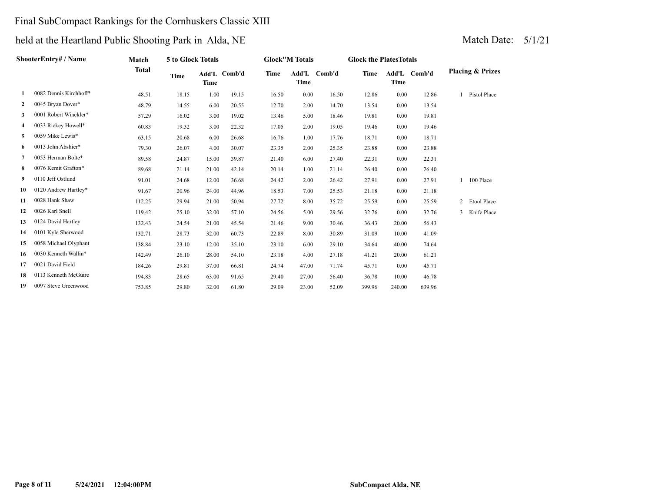## Final SubCompact Rankings for the Cornhuskers Classic XIII

|              | ShooterEntry# / Name   | Match        | 5 to Glock Totals |             |              |       | <b>Glock"M Totals</b> |              | <b>Glock the Plates Totals</b> |             |              |                             |
|--------------|------------------------|--------------|-------------------|-------------|--------------|-------|-----------------------|--------------|--------------------------------|-------------|--------------|-----------------------------|
|              |                        | <b>Total</b> | Time              | <b>Time</b> | Add'L Comb'd | Time  | <b>Time</b>           | Add'L Comb'd | <b>Time</b>                    | <b>Time</b> | Add'L Comb'd | <b>Placing &amp; Prizes</b> |
| 1            | 0082 Dennis Kirchhoff* | 48.51        | 18.15             | 1.00        | 19.15        | 16.50 | 0.00                  | 16.50        | 12.86                          | 0.00        | 12.86        | Pistol Place                |
| $\mathbf{2}$ | 0045 Bryan Dover*      | 48.79        | 14.55             | 6.00        | 20.55        | 12.70 | 2.00                  | 14.70        | 13.54                          | 0.00        | 13.54        |                             |
| 3            | 0001 Robert Winckler*  | 57.29        | 16.02             | 3.00        | 19.02        | 13.46 | 5.00                  | 18.46        | 19.81                          | 0.00        | 19.81        |                             |
| 4            | 0033 Rickey Howell*    | 60.83        | 19.32             | 3.00        | 22.32        | 17.05 | 2.00                  | 19.05        | 19.46                          | 0.00        | 19.46        |                             |
| 5            | 0059 Mike Lewis*       | 63.15        | 20.68             | 6.00        | 26.68        | 16.76 | 1.00                  | 17.76        | 18.71                          | 0.00        | 18.71        |                             |
| 6            | 0013 John Abshier*     | 79.30        | 26.07             | 4.00        | 30.07        | 23.35 | 2.00                  | 25.35        | 23.88                          | 0.00        | 23.88        |                             |
| 7            | 0053 Herman Bolte*     | 89.58        | 24.87             | 15.00       | 39.87        | 21.40 | 6.00                  | 27.40        | 22.31                          | 0.00        | 22.31        |                             |
| 8            | 0076 Kemit Grafton*    | 89.68        | 21.14             | 21.00       | 42.14        | 20.14 | 1.00                  | 21.14        | 26.40                          | 0.00        | 26.40        |                             |
| 9.           | 0110 Jeff Ostlund      | 91.01        | 24.68             | 12.00       | 36.68        | 24.42 | 2.00                  | 26.42        | 27.91                          | 0.00        | 27.91        | 100 Place                   |
| 10           | 0120 Andrew Hartley*   | 91.67        | 20.96             | 24.00       | 44.96        | 18.53 | 7.00                  | 25.53        | 21.18                          | 0.00        | 21.18        |                             |
| 11           | 0028 Hank Shaw         | 112.25       | 29.94             | 21.00       | 50.94        | 27.72 | 8.00                  | 35.72        | 25.59                          | 0.00        | 25.59        | 2<br>Etool Place            |
| 12           | 0026 Karl Snell        | 119.42       | 25.10             | 32.00       | 57.10        | 24.56 | 5.00                  | 29.56        | 32.76                          | 0.00        | 32.76        | Knife Place<br>3            |
| 13           | 0124 David Hartley     | 132.43       | 24.54             | 21.00       | 45.54        | 21.46 | 9.00                  | 30.46        | 36.43                          | 20.00       | 56.43        |                             |
| 14           | 0101 Kyle Sherwood     | 132.71       | 28.73             | 32.00       | 60.73        | 22.89 | 8.00                  | 30.89        | 31.09                          | 10.00       | 41.09        |                             |
| 15           | 0058 Michael Olyphant  | 138.84       | 23.10             | 12.00       | 35.10        | 23.10 | 6.00                  | 29.10        | 34.64                          | 40.00       | 74.64        |                             |
| 16           | 0030 Kenneth Wallin*   | 142.49       | 26.10             | 28.00       | 54.10        | 23.18 | 4.00                  | 27.18        | 41.21                          | 20.00       | 61.21        |                             |
| 17           | 0021 David Field       | 184.26       | 29.81             | 37.00       | 66.81        | 24.74 | 47.00                 | 71.74        | 45.71                          | 0.00        | 45.71        |                             |
| 18           | 0113 Kenneth McGuire   | 194.83       | 28.65             | 63.00       | 91.65        | 29.40 | 27.00                 | 56.40        | 36.78                          | 10.00       | 46.78        |                             |
| 19           | 0097 Steve Greenwood   | 753.85       | 29.80             | 32.00       | 61.80        | 29.09 | 23.00                 | 52.09        | 399.96                         | 240.00      | 639.96       |                             |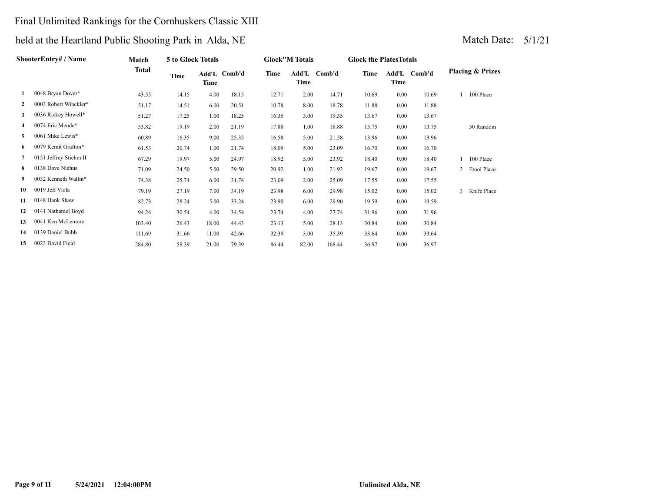## Final Unlimited Rankings for the Cornhuskers Classic XIII

## held at the Heartland Public Shooting Park in Alda, NE Match Date: 5/1/21

| <b>ShooterEntry# / Name</b> |                        | Match        | 5 to Glock Totals |               |        | <b>Glock</b> "M Totals |               |        | <b>Glock the Plates Totals</b> |               |        |                             |
|-----------------------------|------------------------|--------------|-------------------|---------------|--------|------------------------|---------------|--------|--------------------------------|---------------|--------|-----------------------------|
|                             |                        | <b>Total</b> | Time              | Add'L<br>Time | Comb'd | Time                   | Add'L<br>Time | Comb'd | Time                           | Add'L<br>Time | Comb'd | <b>Placing &amp; Prizes</b> |
|                             | 0048 Bryan Dover*      | 43.55        | 14.15             | 4.00          | 18.15  | 12.71                  | 2.00          | 14.71  | 10.69                          | 0.00          | 10.69  | 100 Place                   |
|                             | 0003 Robert Winckler*  | 51.17        | 14.51             | 6.00          | 20.51  | 10.78                  | 8.00          | 18.78  | 11.88                          | 0.00          | 11.88  |                             |
| 3                           | 0036 Rickey Howell*    | 51.27        | 17.25             | 1.00          | 18.25  | 16.35                  | 3.00          | 19.35  | 13.67                          | 0.00          | 13.67  |                             |
| 4                           | 0074 Eric Mende*       | 53.82        | 19.19             | 2.00          | 21.19  | 17.88                  | 1.00          | 18.88  | 13.75                          | 0.00          | 13.75  | 50 Random                   |
| 5.                          | 0061 Mike Lewis*       | 60.89        | 16.35             | 9.00          | 25.35  | 16.58                  | 5.00          | 21.58  | 13.96                          | 0.00          | 13.96  |                             |
| 6                           | 0079 Kemit Grafton*    | 61.53        | 20.74             | 1.00          | 21.74  | 18.09                  | 5.00          | 23.09  | 16.70                          | 0.00          | 16.70  |                             |
|                             | 0151 Jeffrey Stiehm II | 67.29        | 19.97             | 5.00          | 24.97  | 18.92                  | 5.00          | 23.92  | 18.40                          | 0.00          | 18.40  | 100 Place                   |
| 8                           | 0138 Dave Niehus       | 71.09        | 24.50             | 5.00          | 29.50  | 20.92                  | 1.00          | 21.92  | 19.67                          | 0.00          | 19.67  | 2 Etool Place               |
| 9                           | 0032 Kenneth Wallin*   | 74.38        | 25.74             | 6.00          | 31.74  | 23.09                  | 2.00          | 25.09  | 17.55                          | 0.00          | 17.55  |                             |
| 10                          | 0019 Jeff Viola        | 79.19        | 27.19             | 7.00          | 34.19  | 23.98                  | 6.00          | 29.98  | 15.02                          | 0.00          | 15.02  | 3 Knife Place               |
| 11                          | 0148 Hank Shaw         | 82.73        | 28.24             | 5.00          | 33.24  | 23.90                  | 6.00          | 29.90  | 19.59                          | 0.00          | 19.59  |                             |

 0141 Nathaniel Boyd 94.24 30.54 4.00 34.54 23.74 4.00 27.74 31.96 0.00 31.96 0041 Ken McLemore 103.40 26.43 18.00 44.43 23.13 5.00 28.13 30.84 0.00 30.84 0139 Daniel Bubb 111.69 31.66 11.00 42.66 32.39 3.00 35.39 33.64 0.00 33.64 0023 David Field 284.80 58.39 21.00 79.39 86.44 82.00 168.44 36.97 0.00 36.97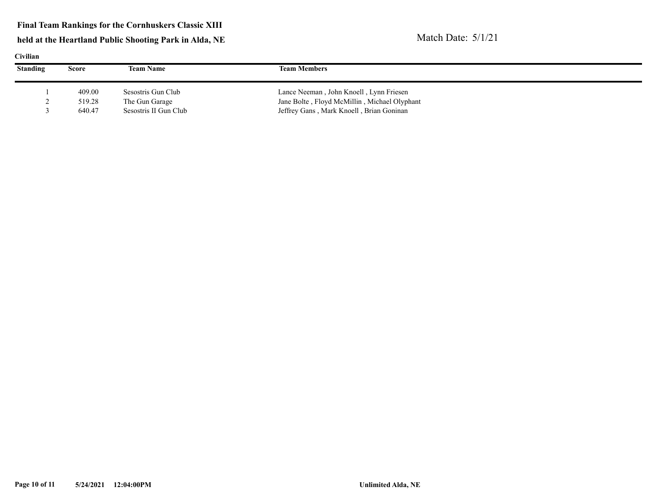#### **Final Team Rankings for the Cornhuskers Classic XIII**

| <b>Civilian</b> |        |                       |                                              |  |  |  |  |  |  |  |
|-----------------|--------|-----------------------|----------------------------------------------|--|--|--|--|--|--|--|
| <b>Standing</b> | Score  | <b>Team Name</b>      | <b>Team Members</b>                          |  |  |  |  |  |  |  |
|                 |        |                       |                                              |  |  |  |  |  |  |  |
|                 | 409.00 | Sesostris Gun Club    | Lance Neeman, John Knoell, Lynn Friesen      |  |  |  |  |  |  |  |
|                 | 519.28 | The Gun Garage        | Jane Bolte, Floyd McMillin, Michael Olyphant |  |  |  |  |  |  |  |
|                 | 640.47 | Sesostris II Gun Club | Jeffrey Gans, Mark Knoell, Brian Goninan     |  |  |  |  |  |  |  |